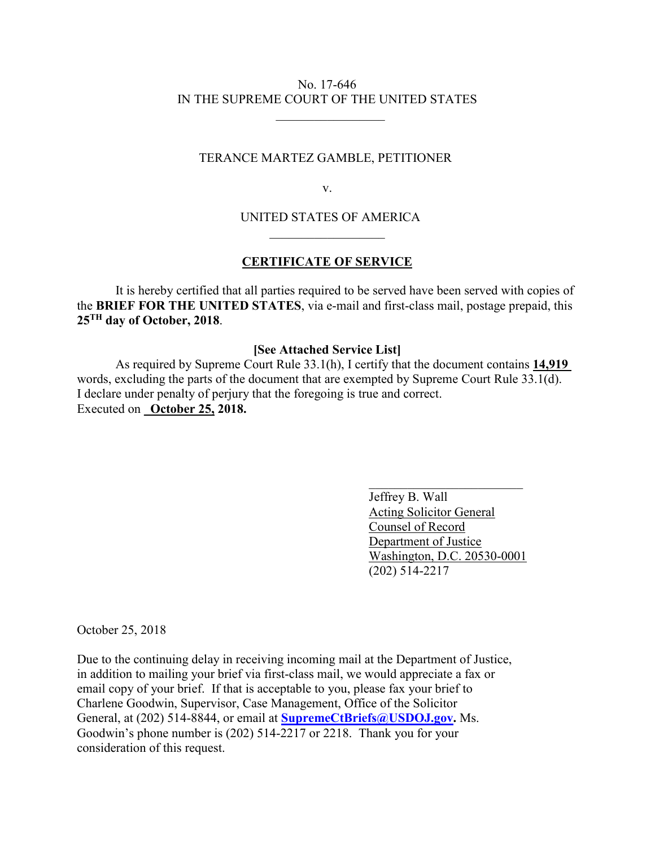## No. 17-646 IN THE SUPREME COURT OF THE UNITED STATES

 $\overline{\phantom{a}}$  , where  $\overline{\phantom{a}}$  , where  $\overline{\phantom{a}}$  , where  $\overline{\phantom{a}}$ 

## TERANCE MARTEZ GAMBLE, PETITIONER

v.

UNITED STATES OF AMERICA

## **CERTIFICATE OF SERVICE**

 $\mathcal{L}_\text{max}$  and  $\mathcal{L}_\text{max}$  and  $\mathcal{L}_\text{max}$  and  $\mathcal{L}_\text{max}$  and  $\mathcal{L}_\text{max}$ 

It is hereby certified that all parties required to be served have been served with copies of the **BRIEF FOR THE UNITED STATES**, via e-mail and first-class mail, postage prepaid, this **25TH day of October, 2018**.

## **[See Attached Service List]**

As required by Supreme Court Rule 33.1(h), I certify that the document contains **14,919**  words, excluding the parts of the document that are exempted by Supreme Court Rule 33.1(d). I declare under penalty of perjury that the foregoing is true and correct. Executed on **October 25, 2018.** 

 $\mathcal{L}_\mathcal{L}$  , which is a set of the set of the set of the set of the set of the set of the set of the set of the set of the set of the set of the set of the set of the set of the set of the set of the set of the set of

 Jeffrey B. Wall Acting Solicitor General Counsel of Record Department of Justice Washington, D.C. 20530-0001 (202) 514-2217

October 25, 2018

Due to the continuing delay in receiving incoming mail at the Department of Justice, in addition to mailing your brief via first-class mail, we would appreciate a fax or email copy of your brief. If that is acceptable to you, please fax your brief to Charlene Goodwin, Supervisor, Case Management, Office of the Solicitor General, at (202) 514-8844, or email at **SupremeCtBriefs@USDOJ.gov.** Ms. Goodwin's phone number is (202) 514-2217 or 2218. Thank you for your consideration of this request.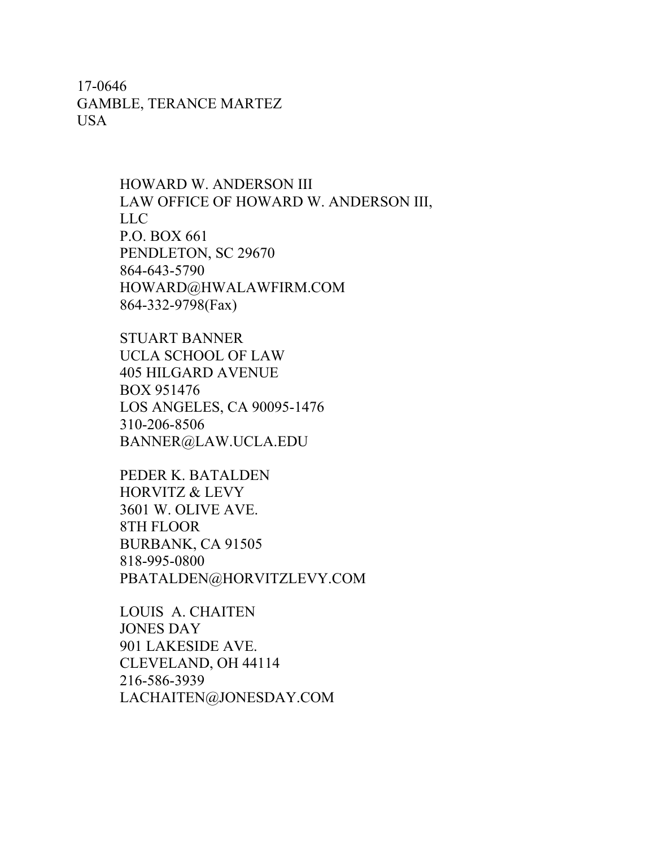17-0646 GAMBLE, TERANCE MARTEZ USA

> HOWARD W. ANDERSON III LAW OFFICE OF HOWARD W. ANDERSON III, LLC P.O. BOX 661 PENDLETON, SC 29670 864-643-5790 HOWARD@HWALAWFIRM.COM 864-332-9798(Fax)

STUART BANNER UCLA SCHOOL OF LAW 405 HILGARD AVENUE BOX 951476 LOS ANGELES, CA 90095-1476 310-206-8506 BANNER@LAW.UCLA.EDU

PEDER K. BATALDEN HORVITZ & LEVY 3601 W. OLIVE AVE. 8TH FLOOR BURBANK, CA 91505 818-995-0800 PBATALDEN@HORVITZLEVY.COM

LOUIS A. CHAITEN JONES DAY 901 LAKESIDE AVE. CLEVELAND, OH 44114 216-586-3939 LACHAITEN@JONESDAY.COM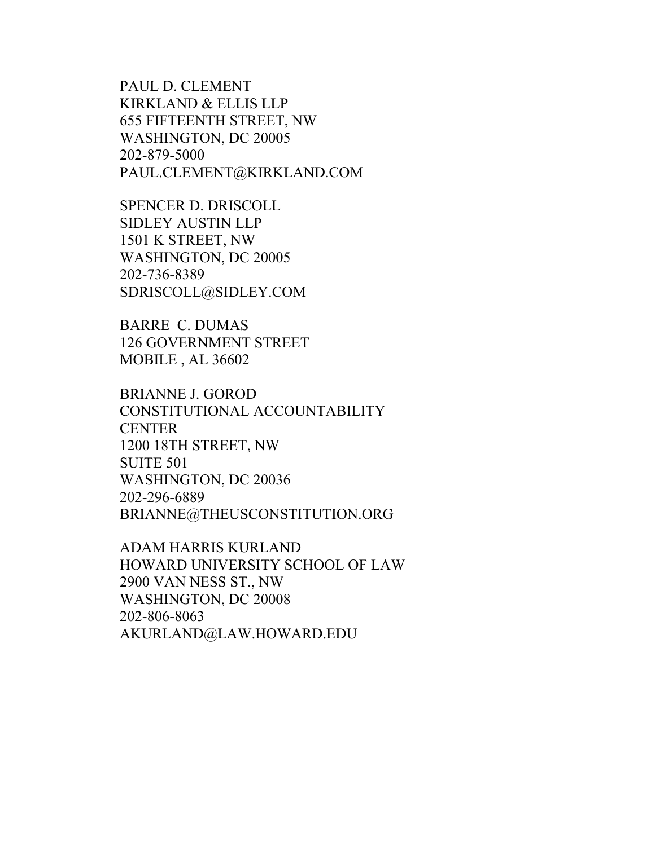PAUL D. CLEMENT KIRKLAND & ELLIS LLP 655 FIFTEENTH STREET, NW WASHINGTON, DC 20005 202-879-5000 PAUL.CLEMENT@KIRKLAND.COM

SPENCER D. DRISCOLL SIDLEY AUSTIN LLP 1501 K STREET, NW WASHINGTON, DC 20005 202-736-8389 SDRISCOLL@SIDLEY.COM

BARRE C. DUMAS 126 GOVERNMENT STREET MOBILE , AL 36602

BRIANNE J. GOROD CONSTITUTIONAL ACCOUNTABILITY CENTER 1200 18TH STREET, NW SUITE 501 WASHINGTON, DC 20036 202-296-6889 BRIANNE@THEUSCONSTITUTION.ORG

ADAM HARRIS KURLAND HOWARD UNIVERSITY SCHOOL OF LAW 2900 VAN NESS ST., NW WASHINGTON, DC 20008 202-806-8063 AKURLAND@LAW.HOWARD.EDU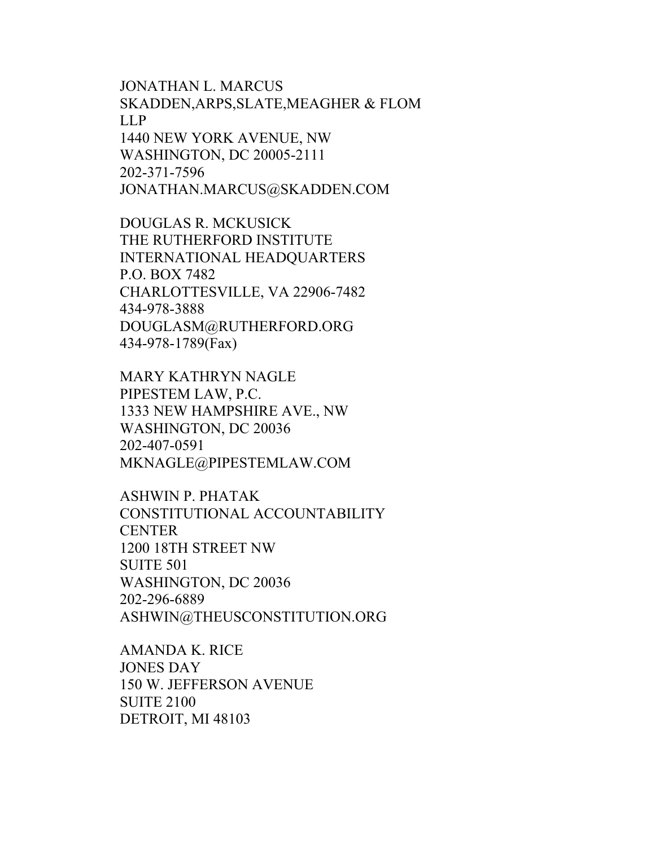JONATHAN L. MARCUS SKADDEN,ARPS,SLATE,MEAGHER & FLOM LLP 1440 NEW YORK AVENUE, NW WASHINGTON, DC 20005-2111 202-371-7596 JONATHAN.MARCUS@SKADDEN.COM

DOUGLAS R. MCKUSICK THE RUTHERFORD INSTITUTE INTERNATIONAL HEADQUARTERS P.O. BOX 7482 CHARLOTTESVILLE, VA 22906-7482 434-978-3888 DOUGLASM@RUTHERFORD.ORG 434-978-1789(Fax)

MARY KATHRYN NAGLE PIPESTEM LAW, P.C. 1333 NEW HAMPSHIRE AVE., NW WASHINGTON, DC 20036 202-407-0591 MKNAGLE@PIPESTEMLAW.COM

ASHWIN P. PHATAK CONSTITUTIONAL ACCOUNTABILITY **CENTER** 1200 18TH STREET NW SUITE 501 WASHINGTON, DC 20036 202-296-6889 ASHWIN@THEUSCONSTITUTION.ORG

AMANDA K. RICE JONES DAY 150 W. JEFFERSON AVENUE SUITE 2100 DETROIT, MI 48103